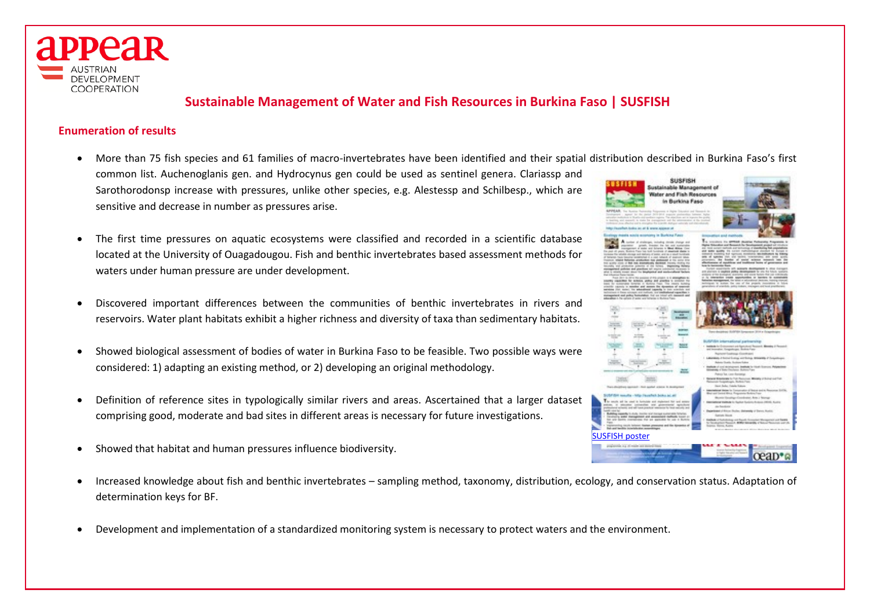

# **Sustainable Management of Water and Fish Resources in Burkina Faso | SUSFISH**

# **Enumeration of results**

- More than 75 fish species and 61 families of macro-invertebrates have been identified and their spatial distribution described in Burkina Faso's first common list. Auchenoglanis gen. and Hydrocynus gen could be used as sentinel genera. Clariassp and **SUSFISE** Sarothorodonsp increase with pressures, unlike other species, e.g. Alestessp and Schilbesp., which are ter and Fish Resor sensitive and decrease in number as pressures arise.
- The first time pressures on aquatic ecosystems were classified and recorded in a scientific database located at the University of Ouagadougou. Fish and benthic invertebrates based assessment methods for waters under human pressure are under development.
- Discovered important differences between the communities of benthic invertebrates in rivers and reservoirs. Water plant habitats exhibit a higher richness and diversity of taxa than sedimentary habitats.
- Showed biological assessment of bodies of water in Burkina Faso to be feasible. Two possible ways were considered: 1) adapting an existing method, or 2) developing an original methodology.
- Definition of reference sites in typologically similar rivers and areas. Ascertained that a larger dataset comprising good, moderate and bad sites in different areas is necessary for future investigations.
- Showed that habitat and human pressures influence biodiversity.
- Increased knowledge about fish and benthic invertebrates sampling method, taxonomy, distribution, ecology, and conservation status. Adaptation of determination keys for BF.
- Development and implementation of a standardized monitoring system is necessary to protect waters and the environment.

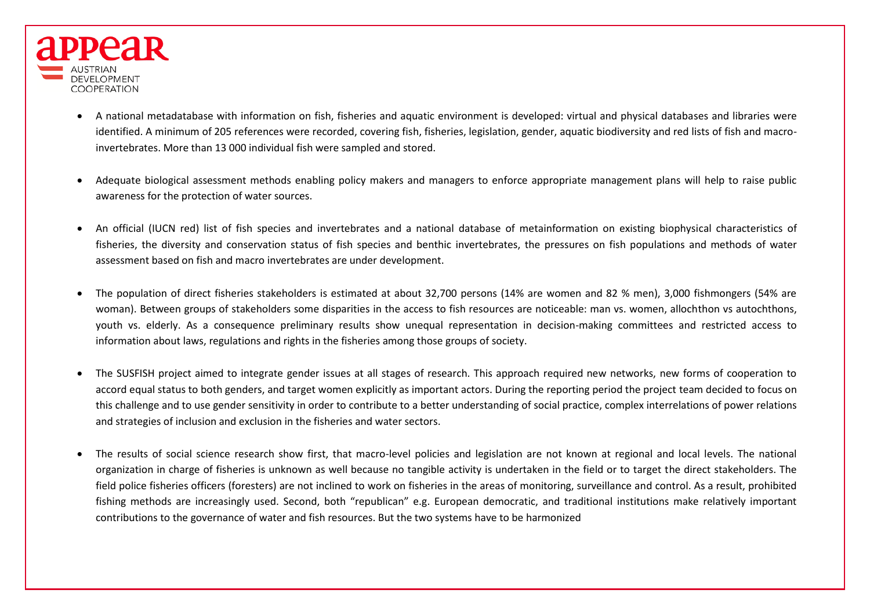

- A national metadatabase with information on fish, fisheries and aquatic environment is developed: virtual and physical databases and libraries were identified. A minimum of 205 references were recorded, covering fish, fisheries, legislation, gender, aquatic biodiversity and red lists of fish and macroinvertebrates. More than 13 000 individual fish were sampled and stored.
- Adequate biological assessment methods enabling policy makers and managers to enforce appropriate management plans will help to raise public awareness for the protection of water sources.
- An official (IUCN red) list of fish species and invertebrates and a national database of metainformation on existing biophysical characteristics of fisheries, the diversity and conservation status of fish species and benthic invertebrates, the pressures on fish populations and methods of water assessment based on fish and macro invertebrates are under development.
- The population of direct fisheries stakeholders is estimated at about 32,700 persons (14% are women and 82 % men), 3,000 fishmongers (54% are woman). Between groups of stakeholders some disparities in the access to fish resources are noticeable: man vs. women, allochthon vs autochthons, youth vs. elderly. As a consequence preliminary results show unequal representation in decision-making committees and restricted access to information about laws, regulations and rights in the fisheries among those groups of society.
- The SUSFISH project aimed to integrate gender issues at all stages of research. This approach required new networks, new forms of cooperation to accord equal status to both genders, and target women explicitly as important actors. During the reporting period the project team decided to focus on this challenge and to use gender sensitivity in order to contribute to a better understanding of social practice, complex interrelations of power relations and strategies of inclusion and exclusion in the fisheries and water sectors.
- The results of social science research show first, that macro-level policies and legislation are not known at regional and local levels. The national organization in charge of fisheries is unknown as well because no tangible activity is undertaken in the field or to target the direct stakeholders. The field police fisheries officers (foresters) are not inclined to work on fisheries in the areas of monitoring, surveillance and control. As a result, prohibited fishing methods are increasingly used. Second, both "republican" e.g. European democratic, and traditional institutions make relatively important contributions to the governance of water and fish resources. But the two systems have to be harmonized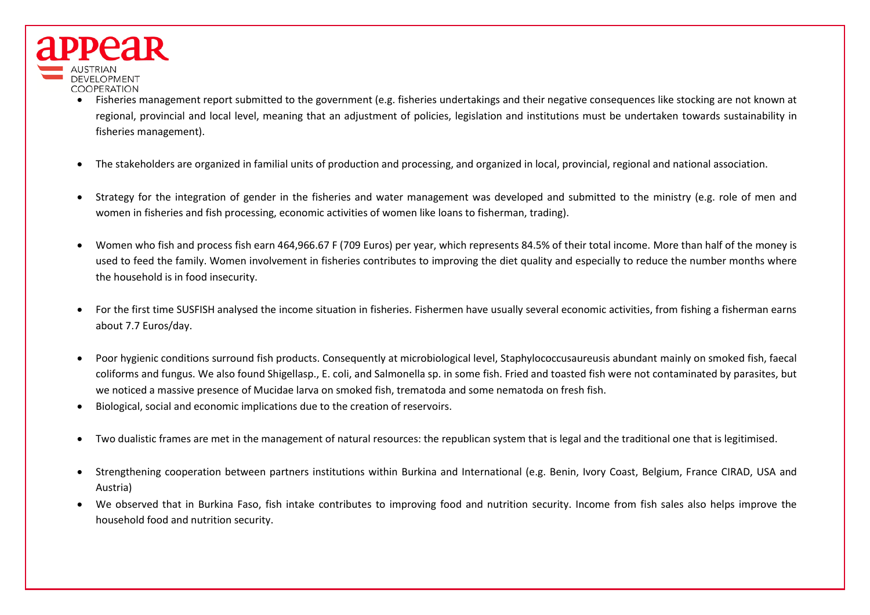

- Fisheries management report submitted to the government (e.g. fisheries undertakings and their negative consequences like stocking are not known at regional, provincial and local level, meaning that an adjustment of policies, legislation and institutions must be undertaken towards sustainability in fisheries management).
- The stakeholders are organized in familial units of production and processing, and organized in local, provincial, regional and national association.
- Strategy for the integration of gender in the fisheries and water management was developed and submitted to the ministry (e.g. role of men and women in fisheries and fish processing, economic activities of women like loans to fisherman, trading).
- Women who fish and process fish earn 464,966.67 F (709 Euros) per year, which represents 84.5% of their total income. More than half of the money is used to feed the family. Women involvement in fisheries contributes to improving the diet quality and especially to reduce the number months where the household is in food insecurity.
- For the first time SUSFISH analysed the income situation in fisheries. Fishermen have usually several economic activities, from fishing a fisherman earns about 7.7 Euros/day.
- Poor hygienic conditions surround fish products. Consequently at microbiological level, Staphylococcusaureusis abundant mainly on smoked fish, faecal coliforms and fungus. We also found Shigellasp., E. coli, and Salmonella sp. in some fish. Fried and toasted fish were not contaminated by parasites, but we noticed a massive presence of Mucidae larva on smoked fish, trematoda and some nematoda on fresh fish.
- Biological, social and economic implications due to the creation of reservoirs.
- Two dualistic frames are met in the management of natural resources: the republican system that is legal and the traditional one that is legitimised.
- Strengthening cooperation between partners institutions within Burkina and International (e.g. Benin, Ivory Coast, Belgium, France CIRAD, USA and Austria)
- We observed that in Burkina Faso, fish intake contributes to improving food and nutrition security. Income from fish sales also helps improve the household food and nutrition security.